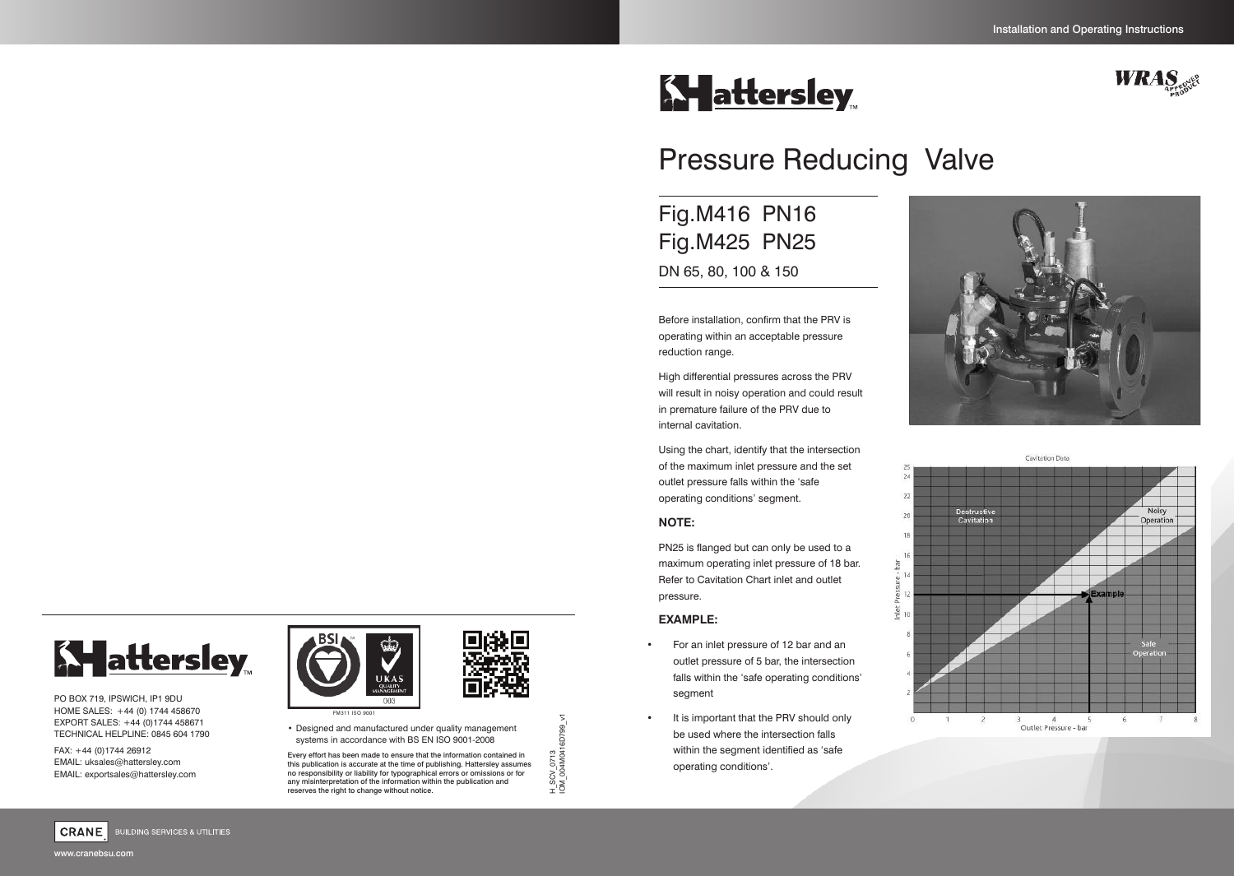# **Ky** attersley



# Pressure Reducing Valve

Fig.M416 PN16 Fig.M425 PN25 DN 65, 80, 100 & 150

Before installation, confirm that the PRV is operating within an acceptable pressure reduction range.

High differential pressures across the PRV will result in noisy operation and could result in premature failure of the PRV due to internal cavitation.

Using the chart, identify that the intersection of the maximum inlet pressure and the set outlet pressure falls within the 'safe operating conditions' segment.

#### **NOTE:**

PN25 is flanged but can only be used to a maximum operating inlet pressure of 18 bar. Refer to Cavitation Chart inlet and outlet pressure.

#### **EXAMPLE:**

- For an inlet pressure of 12 bar and an outlet pressure of 5 bar, the intersection falls within the 'safe operating conditions' segment
- It is important that the PRV should only be used where the intersection falls within the segment identified as 'safe operating conditions'.







**BUILDING SERVICES & UTILITIES** 

PO BOX 719, IPSWICH, IP1 9DU HOME SALES: +44 (0) 1744 458670 EXPORT SALES: +44 (0)1744 458671 TECHNICAL HELPLINE: 0845 604 1790

FAX: +44 (0)1744 26912 EMAIL: uksales@hattersley.com EMAIL: exportsales@hattersley.com





Every effort has been made to ensure that the information contained in this publication is accurate at the time of publishing. Hattersley assumes no responsibility or liability for typographical errors or omissions or for any misinterpretation of the information within the publication and reserves the right to change without notice.

H\_SCV\_0713 IOM\_004M0416D799\_v1

H\_SCV\_0713<br>OM\_004M0416D799\_\

5

www.cranebsu.com

CRANE